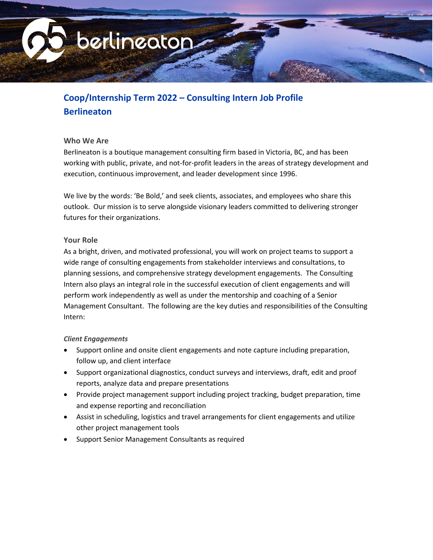

# **Coop/Internship Term 2022 – Consulting Intern Job Profile Berlineaton**

#### **Who We Are**

Berlineaton is a boutique management consulting firm based in Victoria, BC, and has been working with public, private, and not-for-profit leaders in the areas of strategy development and execution, continuous improvement, and leader development since 1996.

We live by the words: 'Be Bold,' and seek clients, associates, and employees who share this outlook. Our mission is to serve alongside visionary leaders committed to delivering stronger futures for their organizations.

#### **Your Role**

As a bright, driven, and motivated professional, you will work on project teams to support a wide range of consulting engagements from stakeholder interviews and consultations, to planning sessions, and comprehensive strategy development engagements. The Consulting Intern also plays an integral role in the successful execution of client engagements and will perform work independently as well as under the mentorship and coaching of a Senior Management Consultant. The following are the key duties and responsibilities of the Consulting Intern:

# *Client Engagements*

- Support online and onsite client engagements and note capture including preparation, follow up, and client interface
- Support organizational diagnostics, conduct surveys and interviews, draft, edit and proof reports, analyze data and prepare presentations
- Provide project management support including project tracking, budget preparation, time and expense reporting and reconciliation
- Assist in scheduling, logistics and travel arrangements for client engagements and utilize other project management tools
- Support Senior Management Consultants as required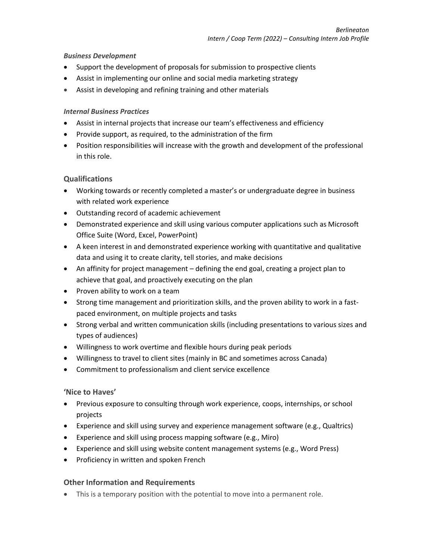### *Business Development*

- Support the development of proposals for submission to prospective clients
- Assist in implementing our online and social media marketing strategy
- Assist in developing and refining training and other materials

### *Internal Business Practices*

- Assist in internal projects that increase our team's effectiveness and efficiency
- Provide support, as required, to the administration of the firm
- Position responsibilities will increase with the growth and development of the professional in this role.

# **Qualifications**

- Working towards or recently completed a master's or undergraduate degree in business with related work experience
- Outstanding record of academic achievement
- Demonstrated experience and skill using various computer applications such as Microsoft Office Suite (Word, Excel, PowerPoint)
- A keen interest in and demonstrated experience working with quantitative and qualitative data and using it to create clarity, tell stories, and make decisions
- An affinity for project management defining the end goal, creating a project plan to achieve that goal, and proactively executing on the plan
- Proven ability to work on a team
- Strong time management and prioritization skills, and the proven ability to work in a fastpaced environment, on multiple projects and tasks
- Strong verbal and written communication skills (including presentations to various sizes and types of audiences)
- Willingness to work overtime and flexible hours during peak periods
- Willingness to travel to client sites (mainly in BC and sometimes across Canada)
- Commitment to professionalism and client service excellence

#### **'Nice to Haves'**

- Previous exposure to consulting through work experience, coops, internships, or school projects
- Experience and skill using survey and experience management software (e.g., Qualtrics)
- Experience and skill using process mapping software (e.g., Miro)
- Experience and skill using website content management systems (e.g., Word Press)
- Proficiency in written and spoken French

# **Other Information and Requirements**

• This is a temporary position with the potential to move into a permanent role.